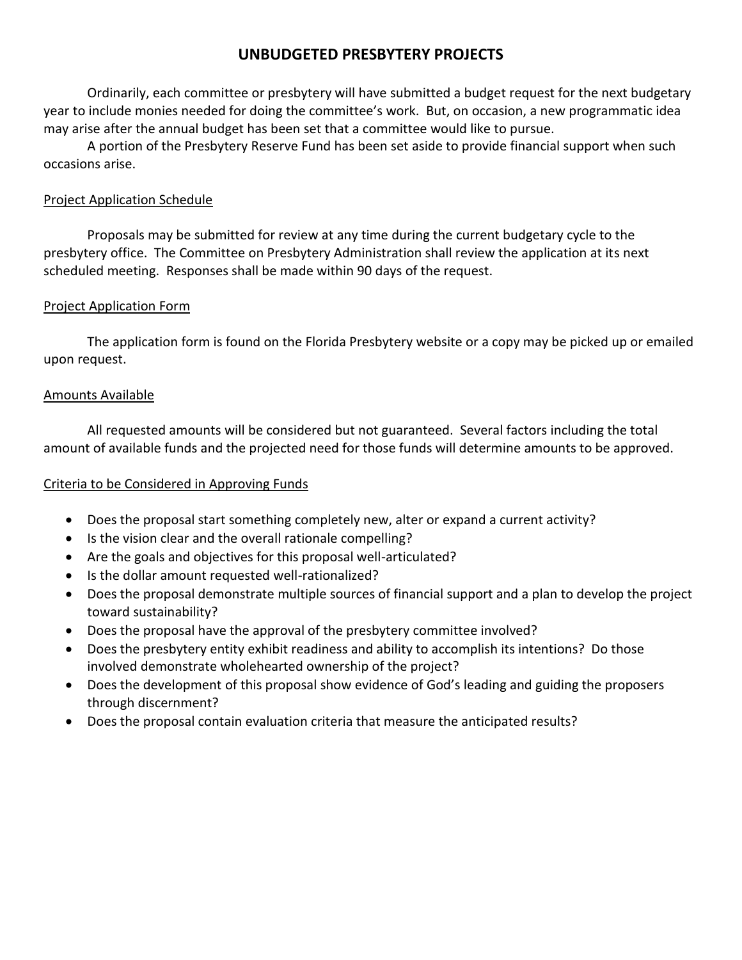# **UNBUDGETED PRESBYTERY PROJECTS**

Ordinarily, each committee or presbytery will have submitted a budget request for the next budgetary year to include monies needed for doing the committee's work. But, on occasion, a new programmatic idea may arise after the annual budget has been set that a committee would like to pursue.

A portion of the Presbytery Reserve Fund has been set aside to provide financial support when such occasions arise.

## Project Application Schedule

Proposals may be submitted for review at any time during the current budgetary cycle to the presbytery office. The Committee on Presbytery Administration shall review the application at its next scheduled meeting. Responses shall be made within 90 days of the request.

#### Project Application Form

The application form is found on the Florida Presbytery website or a copy may be picked up or emailed upon request.

#### Amounts Available

All requested amounts will be considered but not guaranteed. Several factors including the total amount of available funds and the projected need for those funds will determine amounts to be approved.

## Criteria to be Considered in Approving Funds

- Does the proposal start something completely new, alter or expand a current activity?
- Is the vision clear and the overall rationale compelling?
- Are the goals and objectives for this proposal well-articulated?
- Is the dollar amount requested well-rationalized?
- Does the proposal demonstrate multiple sources of financial support and a plan to develop the project toward sustainability?
- Does the proposal have the approval of the presbytery committee involved?
- Does the presbytery entity exhibit readiness and ability to accomplish its intentions? Do those involved demonstrate wholehearted ownership of the project?
- Does the development of this proposal show evidence of God's leading and guiding the proposers through discernment?
- Does the proposal contain evaluation criteria that measure the anticipated results?